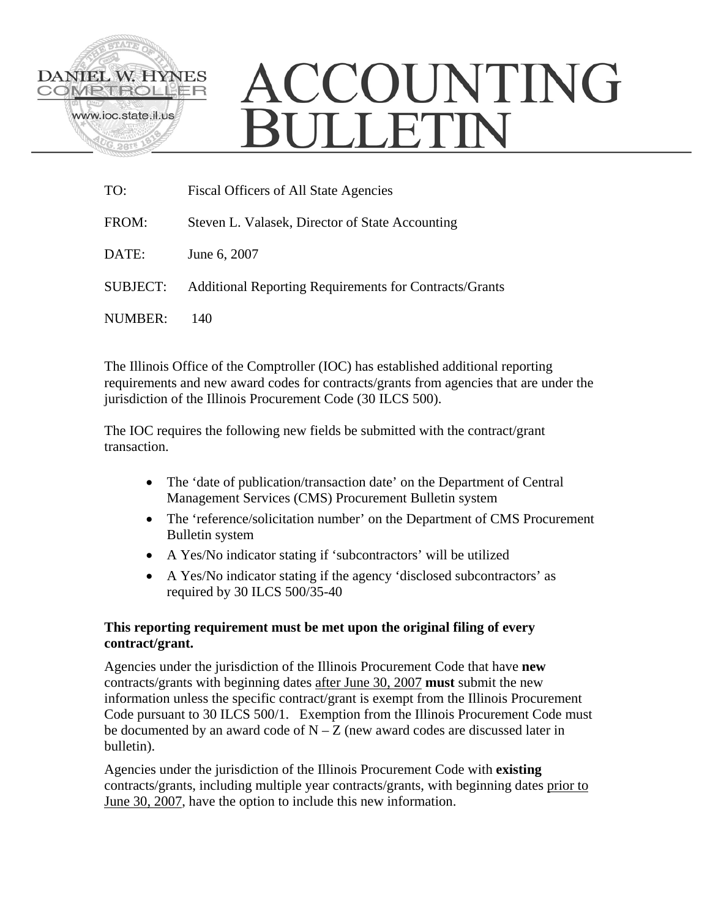

# ACCOUNTING **SULLETIN**

| TO:             | Fiscal Officers of All State Agencies                         |
|-----------------|---------------------------------------------------------------|
| FROM:           | Steven L. Valasek, Director of State Accounting               |
| DATE:           | June 6, 2007                                                  |
| <b>SUBJECT:</b> | <b>Additional Reporting Requirements for Contracts/Grants</b> |
| NUMBER:         | 140                                                           |

The Illinois Office of the Comptroller (IOC) has established additional reporting requirements and new award codes for contracts/grants from agencies that are under the jurisdiction of the Illinois Procurement Code (30 ILCS 500).

The IOC requires the following new fields be submitted with the contract/grant transaction.

- The 'date of publication/transaction date' on the Department of Central Management Services (CMS) Procurement Bulletin system
- The 'reference/solicitation number' on the Department of CMS Procurement Bulletin system
- A Yes/No indicator stating if 'subcontractors' will be utilized
- A Yes/No indicator stating if the agency 'disclosed subcontractors' as required by 30 ILCS 500/35-40

# **This reporting requirement must be met upon the original filing of every contract/grant.**

Agencies under the jurisdiction of the Illinois Procurement Code that have **new** contracts/grants with beginning dates after June 30, 2007 **must** submit the new information unless the specific contract/grant is exempt from the Illinois Procurement Code pursuant to 30 ILCS 500/1. Exemption from the Illinois Procurement Code must be documented by an award code of  $N - Z$  (new award codes are discussed later in bulletin).

Agencies under the jurisdiction of the Illinois Procurement Code with **existing** contracts/grants, including multiple year contracts/grants, with beginning dates prior to June 30, 2007, have the option to include this new information.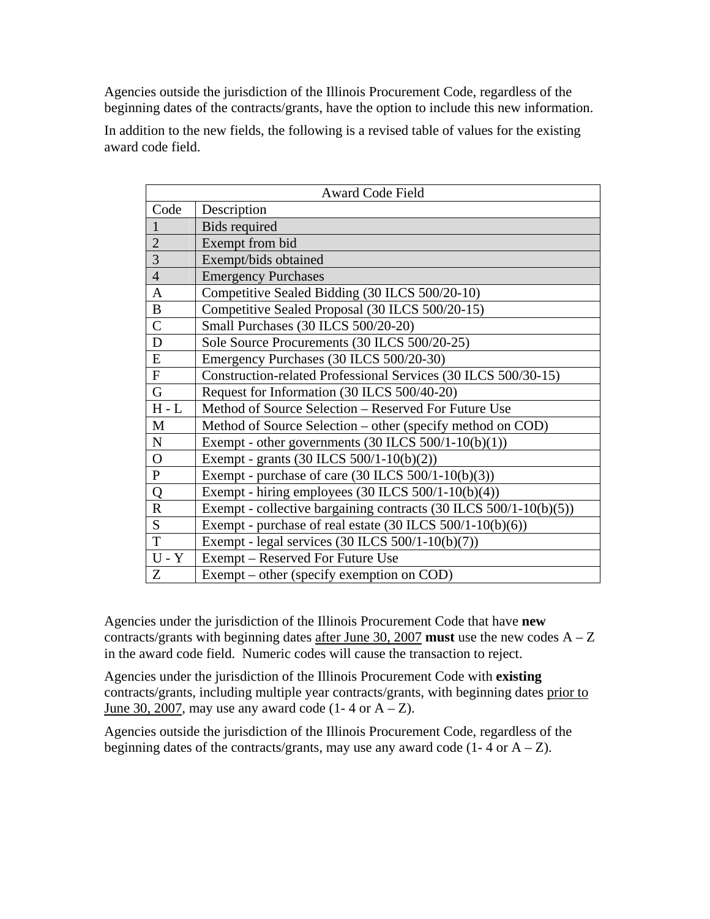Agencies outside the jurisdiction of the Illinois Procurement Code, regardless of the beginning dates of the contracts/grants, have the option to include this new information.

In addition to the new fields, the following is a revised table of values for the existing award code field.

| <b>Award Code Field</b> |                                                                       |  |  |  |
|-------------------------|-----------------------------------------------------------------------|--|--|--|
| Code                    | Description                                                           |  |  |  |
| $\mathbf{1}$            | <b>Bids required</b>                                                  |  |  |  |
| $\overline{2}$          | Exempt from bid                                                       |  |  |  |
| $\overline{3}$          | Exempt/bids obtained                                                  |  |  |  |
| $\overline{4}$          | <b>Emergency Purchases</b>                                            |  |  |  |
| $\mathbf{A}$            | Competitive Sealed Bidding (30 ILCS 500/20-10)                        |  |  |  |
| $\bf{B}$                | Competitive Sealed Proposal (30 ILCS 500/20-15)                       |  |  |  |
| $\overline{C}$          | Small Purchases (30 ILCS 500/20-20)                                   |  |  |  |
| D                       | Sole Source Procurements (30 ILCS 500/20-25)                          |  |  |  |
| ${\bf E}$               | Emergency Purchases (30 ILCS 500/20-30)                               |  |  |  |
| $\mathbf F$             | Construction-related Professional Services (30 ILCS 500/30-15)        |  |  |  |
| $\mathbf G$             | Request for Information (30 ILCS 500/40-20)                           |  |  |  |
| $H - L$                 | Method of Source Selection - Reserved For Future Use                  |  |  |  |
| M                       | Method of Source Selection – other (specify method on COD)            |  |  |  |
| $\mathbf N$             | Exempt - other governments $(30$ ILCS $500/1-10(b)(1))$               |  |  |  |
| $\mathbf{O}$            | Exempt - grants (30 ILCS 500/1-10(b)(2))                              |  |  |  |
| ${\bf P}$               | Exempt - purchase of care $(30$ ILCS $500/1-10(b)(3))$                |  |  |  |
| Q                       | Exempt - hiring employees (30 ILCS 500/1-10(b)(4))                    |  |  |  |
| $\mathbf R$             | Exempt - collective bargaining contracts $(30$ ILCS $500/1-10(b)(5))$ |  |  |  |
| S                       | Exempt - purchase of real estate $(30$ ILCS $500/1-10(b)(6))$         |  |  |  |
| T                       | Exempt - legal services (30 ILCS 500/1-10(b)(7))                      |  |  |  |
| $U - Y$                 | Exempt – Reserved For Future Use                                      |  |  |  |
| Z                       | Exempt – other (specify exemption on COD)                             |  |  |  |

Agencies under the jurisdiction of the Illinois Procurement Code that have **new** contracts/grants with beginning dates after June 30, 2007 **must** use the new codes  $A - Z$ in the award code field. Numeric codes will cause the transaction to reject.

Agencies under the jurisdiction of the Illinois Procurement Code with **existing** contracts/grants, including multiple year contracts/grants, with beginning dates prior to June 30, 2007, may use any award code  $(1 - 4 \text{ or } A - Z)$ .

Agencies outside the jurisdiction of the Illinois Procurement Code, regardless of the beginning dates of the contracts/grants, may use any award code  $(1 - 4 \text{ or } A - Z)$ .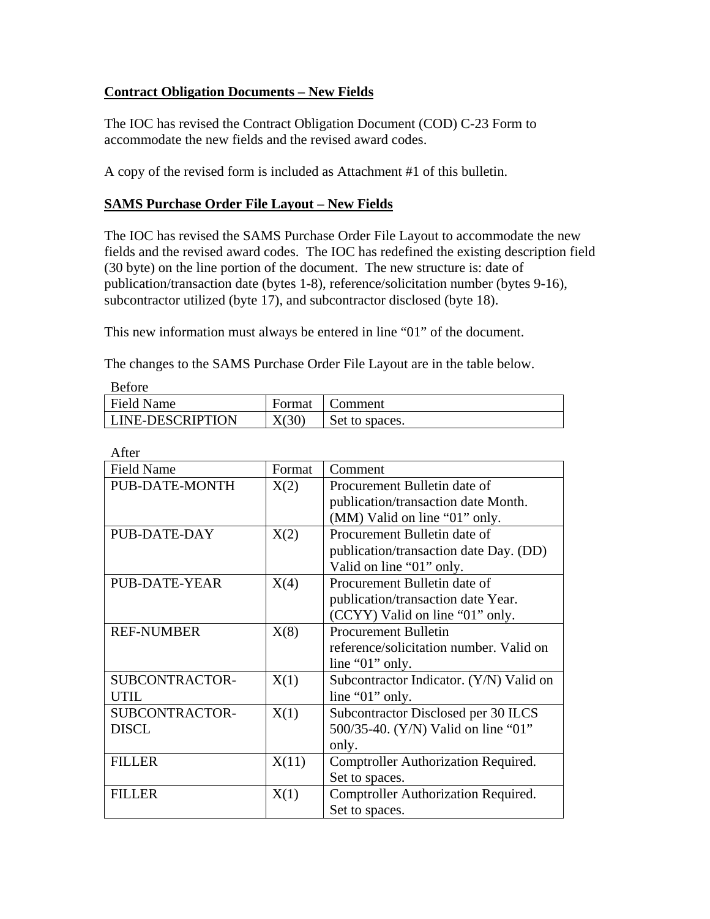# **Contract Obligation Documents – New Fields**

The IOC has revised the Contract Obligation Document (COD) C-23 Form to accommodate the new fields and the revised award codes.

A copy of the revised form is included as Attachment #1 of this bulletin.

# **SAMS Purchase Order File Layout – New Fields**

The IOC has revised the SAMS Purchase Order File Layout to accommodate the new fields and the revised award codes. The IOC has redefined the existing description field (30 byte) on the line portion of the document. The new structure is: date of publication/transaction date (bytes 1-8), reference/solicitation number (bytes 9-16), subcontractor utilized (byte 17), and subcontractor disclosed (byte 18).

This new information must always be entered in line "01" of the document.

The changes to the SAMS Purchase Order File Layout are in the table below.

| DUIVIU                  |        |                |
|-------------------------|--------|----------------|
| <b>Field Name</b>       | Format | .\omment       |
| <b>LINE-DESCRIPTION</b> | X(30)  | Set to spaces. |

| After                 |        |                                            |
|-----------------------|--------|--------------------------------------------|
| <b>Field Name</b>     | Format | Comment                                    |
| <b>PUB-DATE-MONTH</b> | X(2)   | Procurement Bulletin date of               |
|                       |        | publication/transaction date Month.        |
|                       |        | (MM) Valid on line "01" only.              |
| PUB-DATE-DAY          | X(2)   | Procurement Bulletin date of               |
|                       |        | publication/transaction date Day. (DD)     |
|                       |        | Valid on line "01" only.                   |
| <b>PUB-DATE-YEAR</b>  | X(4)   | Procurement Bulletin date of               |
|                       |        | publication/transaction date Year.         |
|                       |        | (CCYY) Valid on line "01" only.            |
| <b>REF-NUMBER</b>     | X(8)   | <b>Procurement Bulletin</b>                |
|                       |        | reference/solicitation number. Valid on    |
|                       |        | line " $01$ " only.                        |
| SUBCONTRACTOR-        | X(1)   | Subcontractor Indicator. (Y/N) Valid on    |
| UTIL.                 |        | line "01" only.                            |
| SUBCONTRACTOR-        | X(1)   | Subcontractor Disclosed per 30 ILCS        |
| <b>DISCL</b>          |        | 500/35-40. (Y/N) Valid on line "01"        |
|                       |        | only.                                      |
| <b>FILLER</b>         | X(11)  | <b>Comptroller Authorization Required.</b> |
|                       |        | Set to spaces.                             |
| <b>FILLER</b>         | X(1)   | <b>Comptroller Authorization Required.</b> |
|                       |        | Set to spaces.                             |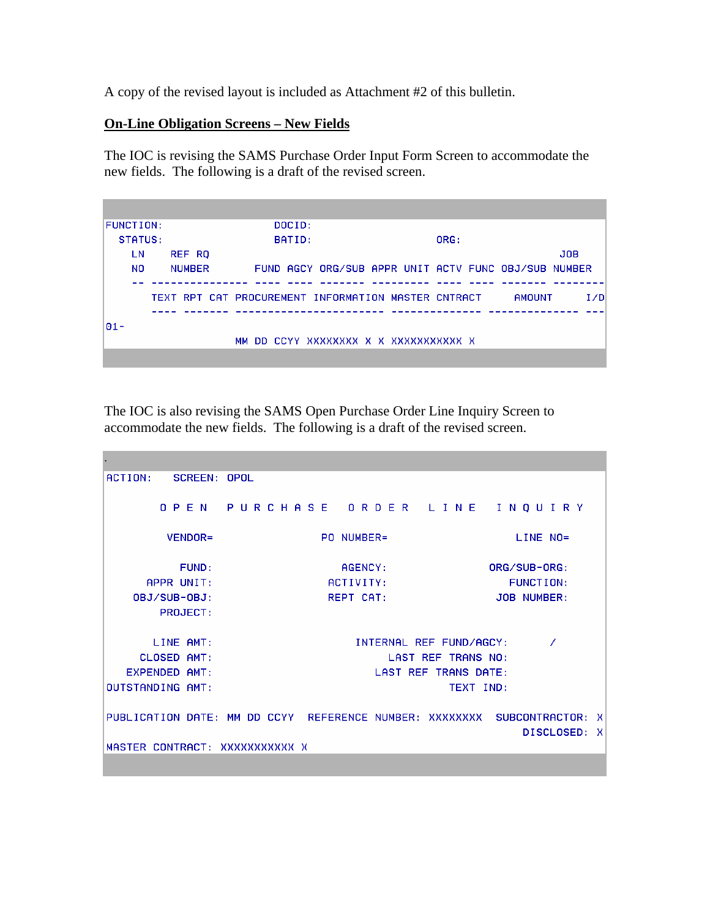A copy of the revised layout is included as Attachment #2 of this bulletin.

### **On-Line Obligation Screens – New Fields**

The IOC is revising the SAMS Purchase Order Input Form Screen to accommodate the new fields. The following is a draft of the revised screen.



The IOC is also revising the SAMS Open Purchase Order Line Inquiry Screen to accommodate the new fields. The following is a draft of the revised screen.

```
. 
ACTION:
         SCREEN: OPOL
       0 P F N
                                 ORDER LINE INQUIRY
                PURCHASE
                             PO NUMBER=
        VENDOR=
                                                         LINE NO=
          FUND:
                                AGENCY:
                                                     ORG/SUB-ORG:
     APPR UNIT:
                              ACTIVITY:
                                                        FUNCTION:
   OBJ/SUB-OBJ:
                              REPT CAT:
                                                     JOB NUMBER:
       PROJECT:
      LINE AMT:
                                  INTERNAL REF FUND/AGCY:
                                                              Z
    CLOSED AMT:
                                       LAST REF TRANS NO:
  EXPENDED AMT:
                                     LAST REF TRANS DATE:
OUTSTANDING AMT:
                                                TEXT IND:
PUBLICATION DATE: MM DD CCYY REFERENCE NUMBER: XXXXXXXXX SUBCONTRACTOR: X
                                                          DISCLOSED: X
MASTER CONTRACT: XXXXXXXXXXX X
```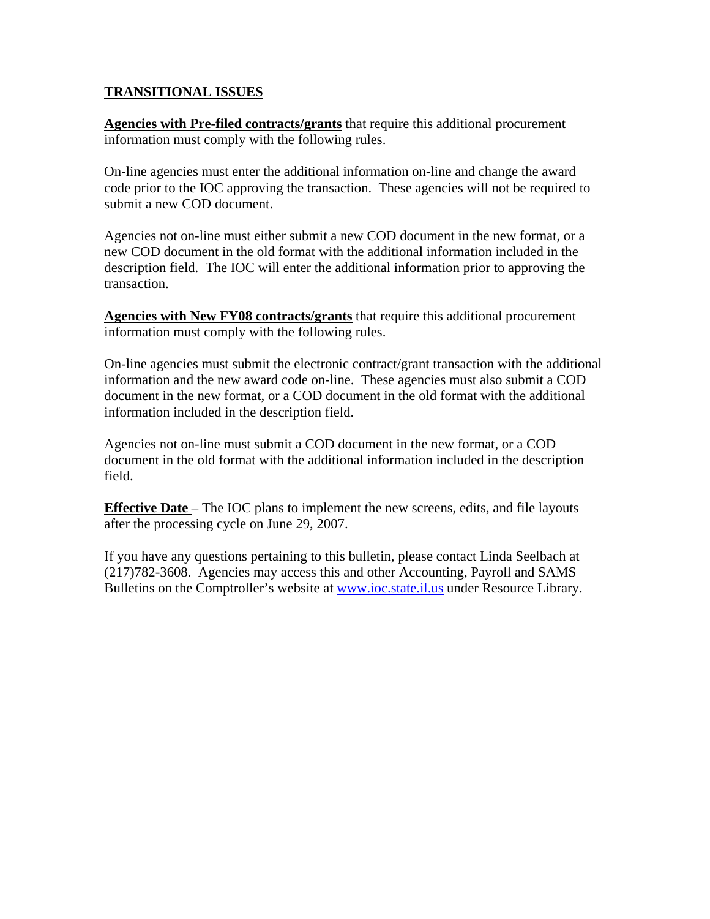## **TRANSITIONAL ISSUES**

**Agencies with Pre-filed contracts/grants** that require this additional procurement information must comply with the following rules.

On-line agencies must enter the additional information on-line and change the award code prior to the IOC approving the transaction. These agencies will not be required to submit a new COD document.

Agencies not on-line must either submit a new COD document in the new format, or a new COD document in the old format with the additional information included in the description field. The IOC will enter the additional information prior to approving the transaction.

**Agencies with New FY08 contracts/grants** that require this additional procurement information must comply with the following rules.

On-line agencies must submit the electronic contract/grant transaction with the additional information and the new award code on-line. These agencies must also submit a COD document in the new format, or a COD document in the old format with the additional information included in the description field.

Agencies not on-line must submit a COD document in the new format, or a COD document in the old format with the additional information included in the description field.

**Effective Date** – The IOC plans to implement the new screens, edits, and file layouts after the processing cycle on June 29, 2007.

If you have any questions pertaining to this bulletin, please contact Linda Seelbach at (217)782-3608. Agencies may access this and other Accounting, Payroll and SAMS Bulletins on the Comptroller's website at [www.ioc.state.il.us](http://www.ioc.state.il.us/) under Resource Library.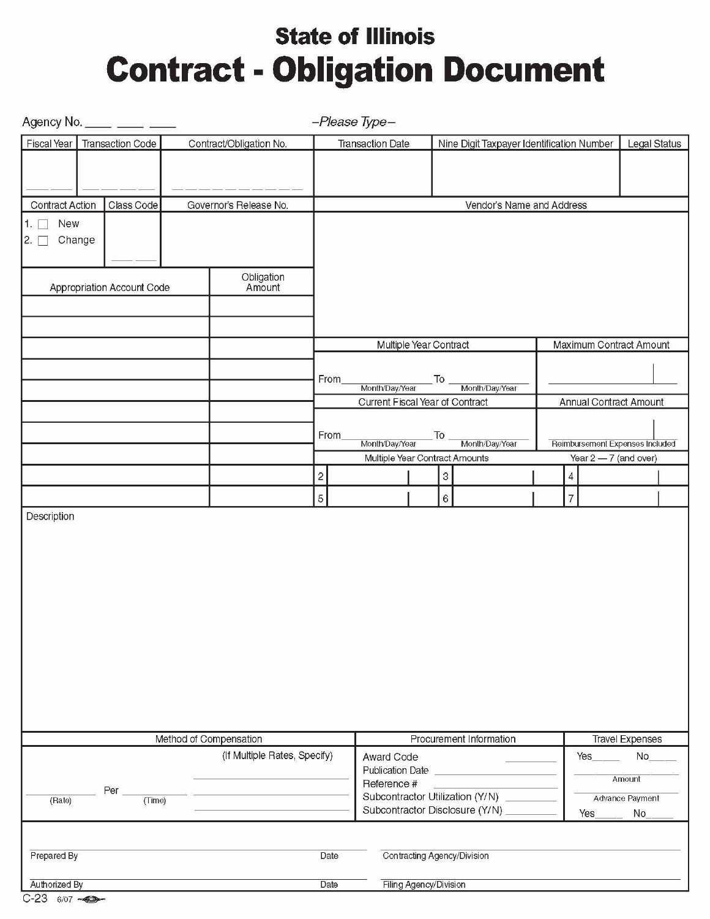# **State of Illinois Contract - Obligation Document**

|                                | Agency No. _____ ____ ____ |                              |                         | -Please Type-                   |                                                      |                                                                   |                                 |                        |
|--------------------------------|----------------------------|------------------------------|-------------------------|---------------------------------|------------------------------------------------------|-------------------------------------------------------------------|---------------------------------|------------------------|
| Fiscal Year                    | <b>Transaction Code</b>    | Contract/Obligation No.      |                         | <b>Transaction Date</b>         |                                                      | Nine Digit Taxpayer Identification Number                         |                                 | Legal Status           |
|                                |                            |                              |                         |                                 |                                                      |                                                                   |                                 |                        |
|                                |                            |                              |                         |                                 |                                                      |                                                                   |                                 |                        |
| <b>Contract Action</b>         | Class Code                 | Governor's Release No.       |                         |                                 |                                                      | Vendor's Name and Address                                         |                                 |                        |
| 1.1<br>New                     |                            |                              |                         |                                 |                                                      |                                                                   |                                 |                        |
| Change<br>$\mathsf{2.}$ $\Box$ |                            |                              |                         |                                 |                                                      |                                                                   |                                 |                        |
|                                |                            |                              |                         |                                 |                                                      |                                                                   |                                 |                        |
|                                | Appropriation Account Code | Obligation<br>Amount         |                         |                                 |                                                      |                                                                   |                                 |                        |
|                                |                            |                              |                         |                                 |                                                      |                                                                   |                                 |                        |
|                                |                            |                              |                         |                                 |                                                      |                                                                   |                                 |                        |
|                                |                            |                              |                         |                                 | Multiple Year Contract                               |                                                                   | Maximum Contract Amount         |                        |
|                                |                            |                              |                         |                                 |                                                      |                                                                   |                                 |                        |
|                                |                            |                              | From                    | Month/Day/Year                  | $\overline{\phantom{a}}$ To $\overline{\phantom{a}}$ | Month/Day/Year                                                    |                                 |                        |
|                                |                            |                              |                         | Current Fiscal Year of Contract |                                                      |                                                                   | Annual Contract Amount          |                        |
|                                |                            |                              |                         |                                 |                                                      |                                                                   |                                 |                        |
|                                |                            |                              | From                    | Month/Day/Year                  |                                                      | To Month/Day/Year                                                 | Reimbursement Expenses Included |                        |
|                                |                            |                              |                         | Multiple Year Contract Amounts  |                                                      |                                                                   | Year $2 - 7$ (and over)         |                        |
|                                |                            |                              | $\overline{\mathbf{c}}$ |                                 |                                                      | $\sqrt{3}$                                                        | $\overline{4}$                  |                        |
|                                |                            |                              | 5                       |                                 |                                                      | $\,$ 6 $\,$                                                       | $\overline{7}$                  |                        |
|                                |                            |                              |                         |                                 |                                                      |                                                                   |                                 |                        |
|                                |                            | Method of Compensation       |                         |                                 |                                                      | Procurement Information                                           |                                 | <b>Travel Expenses</b> |
|                                |                            | (If Multiple Rates, Specify) |                         | Award Code<br>Publication Date  |                                                      |                                                                   | Yes                             | No                     |
|                                | Per                        |                              |                         | Reference #                     |                                                      |                                                                   |                                 | Amount                 |
| (Rate)                         | (Time)                     |                              |                         |                                 |                                                      | Subcontractor Utilization (Y/N)<br>Subcontractor Disclosure (Y/N) | Yes                             | Advance Payment<br>No  |
|                                |                            |                              |                         |                                 |                                                      |                                                                   |                                 |                        |
|                                |                            |                              |                         |                                 |                                                      |                                                                   |                                 |                        |
| Prepared By                    |                            |                              | Date                    |                                 |                                                      | Contracting Agency/Division                                       |                                 |                        |
| Authorized By<br>$C-23.807$    |                            |                              | Date                    |                                 | Filing Agency/Division                               |                                                                   |                                 |                        |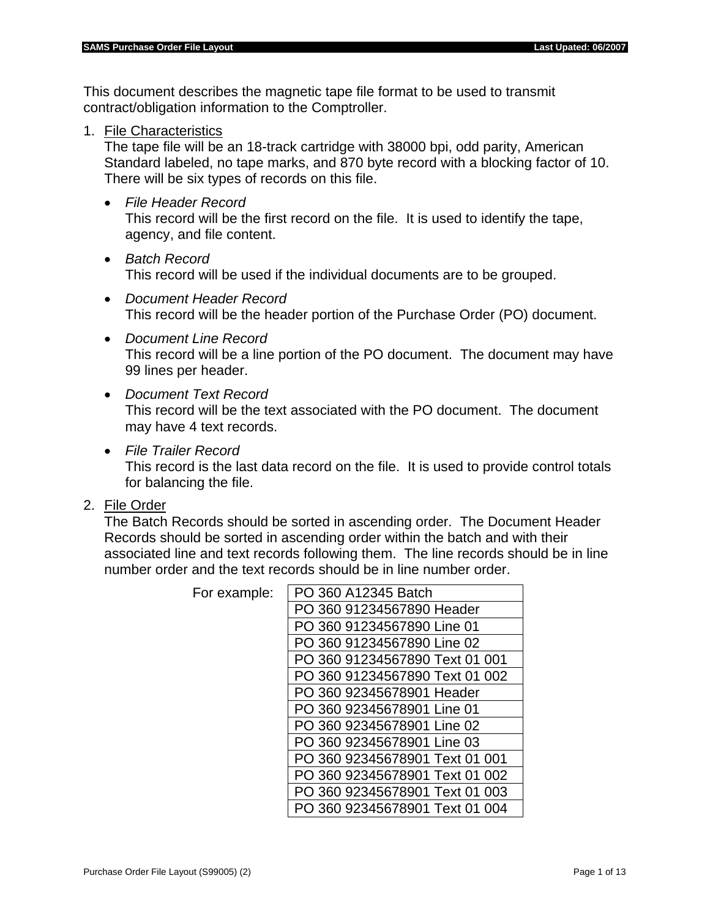This document describes the magnetic tape file format to be used to transmit contract/obligation information to the Comptroller.

1. File Characteristics

The tape file will be an 18-track cartridge with 38000 bpi, odd parity, American Standard labeled, no tape marks, and 870 byte record with a blocking factor of 10. There will be six types of records on this file.

• *File Header Record*

This record will be the first record on the file. It is used to identify the tape, agency, and file content.

- *Batch Record* This record will be used if the individual documents are to be grouped.
- *Document Header Record* This record will be the header portion of the Purchase Order (PO) document.
- *Document Line Record* This record will be a line portion of the PO document. The document may have 99 lines per header.
- *Document Text Record* This record will be the text associated with the PO document. The document may have 4 text records.
- *File Trailer Record*

This record is the last data record on the file. It is used to provide control totals for balancing the file.

2. File Order

The Batch Records should be sorted in ascending order. The Document Header Records should be sorted in ascending order within the batch and with their associated line and text records following them. The line records should be in line number order and the text records should be in line number order.

| PO 360 A12345 Batch            |
|--------------------------------|
| PO 360 91234567890 Header      |
| PO 360 91234567890 Line 01     |
| PO 360 91234567890 Line 02     |
| PO 360 91234567890 Text 01 001 |
| PO 360 91234567890 Text 01 002 |
| PO 360 92345678901 Header      |
| PO 360 92345678901 Line 01     |
| PO 360 92345678901 Line 02     |
| PO 360 92345678901 Line 03     |
| PO 360 92345678901 Text 01 001 |
| PO 360 92345678901 Text 01 002 |
| PO 360 92345678901 Text 01 003 |
| 360 92345678901 Text 01 004    |
|                                |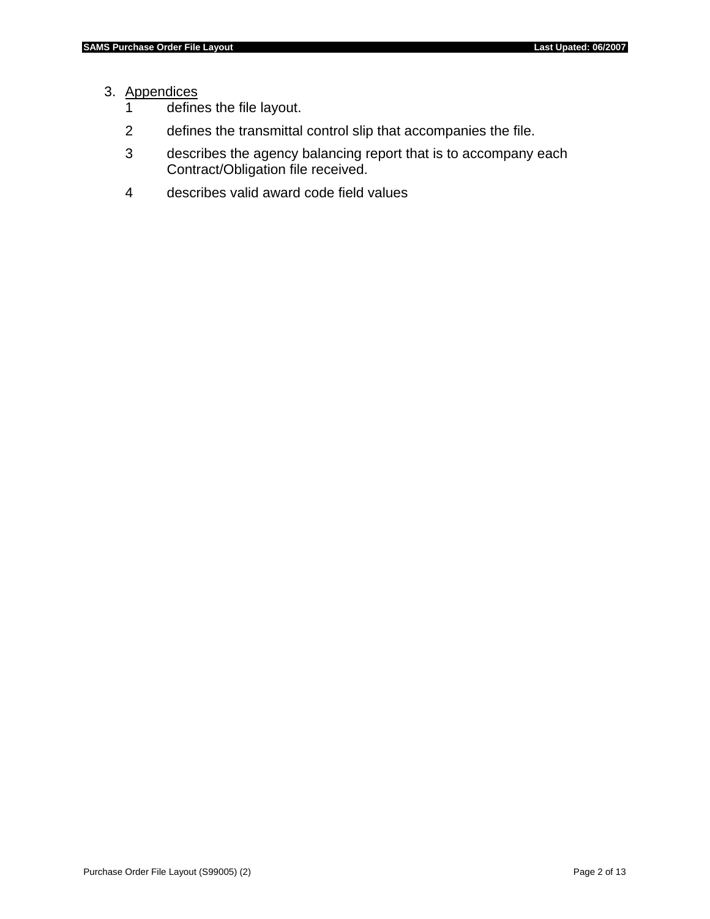# 3. Appendices

- 1 defines the file layout.
- 2 defines the transmittal control slip that accompanies the file.
- 3 describes the agency balancing report that is to accompany each Contract/Obligation file received.
- 4 describes valid award code field values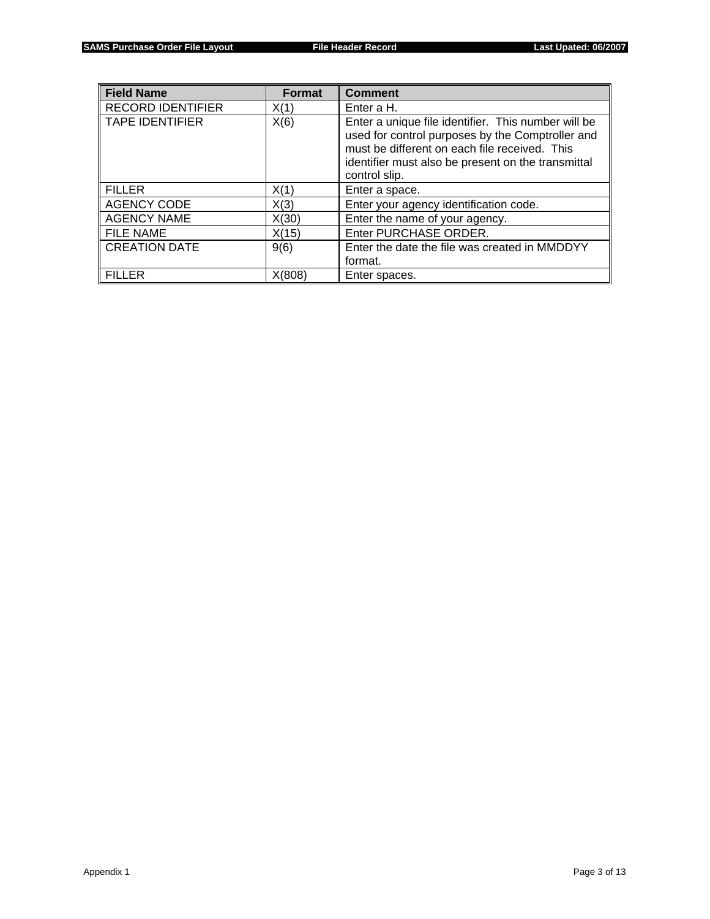| <b>Field Name</b>        | <b>Format</b> | <b>Comment</b>                                                                                                                                                                                                                  |
|--------------------------|---------------|---------------------------------------------------------------------------------------------------------------------------------------------------------------------------------------------------------------------------------|
| <b>RECORD IDENTIFIER</b> | X(1)          | Enter a H.                                                                                                                                                                                                                      |
| <b>TAPE IDENTIFIER</b>   | X(6)          | Enter a unique file identifier. This number will be<br>used for control purposes by the Comptroller and<br>must be different on each file received. This<br>identifier must also be present on the transmittal<br>control slip. |
| <b>FILLER</b>            | X(1)          | Enter a space.                                                                                                                                                                                                                  |
| <b>AGENCY CODE</b>       | X(3)          | Enter your agency identification code.                                                                                                                                                                                          |
| <b>AGENCY NAME</b>       | X(30)         | Enter the name of your agency.                                                                                                                                                                                                  |
| <b>FILE NAME</b>         | X(15)         | Enter PURCHASE ORDER.                                                                                                                                                                                                           |
| <b>CREATION DATE</b>     | 9(6)          | Enter the date the file was created in MMDDYY<br>format.                                                                                                                                                                        |
| <b>FILLER</b>            | X(808)        | Enter spaces.                                                                                                                                                                                                                   |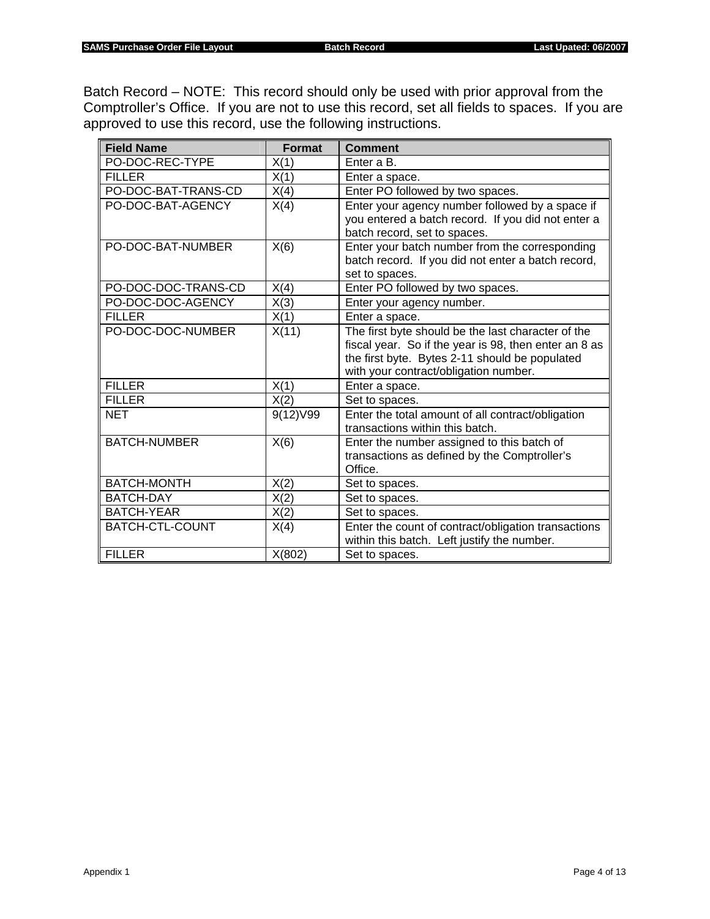Batch Record – NOTE: This record should only be used with prior approval from the Comptroller's Office. If you are not to use this record, set all fields to spaces. If you are approved to use this record, use the following instructions.

| <b>Field Name</b>   | <b>Format</b> | <b>Comment</b>                                                                                              |  |  |
|---------------------|---------------|-------------------------------------------------------------------------------------------------------------|--|--|
| PO-DOC-REC-TYPE     | X(1)          | Enter a B.                                                                                                  |  |  |
| <b>FILLER</b>       | X(1)          | Enter a space.                                                                                              |  |  |
| PO-DOC-BAT-TRANS-CD | X(4)          | Enter PO followed by two spaces.                                                                            |  |  |
| PO-DOC-BAT-AGENCY   | X(4)          | Enter your agency number followed by a space if<br>you entered a batch record. If you did not enter a       |  |  |
|                     |               | batch record, set to spaces.                                                                                |  |  |
| PO-DOC-BAT-NUMBER   | X(6)          | Enter your batch number from the corresponding                                                              |  |  |
|                     |               | batch record. If you did not enter a batch record,<br>set to spaces.                                        |  |  |
| PO-DOC-DOC-TRANS-CD | X(4)          | Enter PO followed by two spaces.                                                                            |  |  |
| PO-DOC-DOC-AGENCY   | X(3)          | Enter your agency number.                                                                                   |  |  |
| <b>FILLER</b>       | X(1)          | Enter a space.                                                                                              |  |  |
| PO-DOC-DOC-NUMBER   | X(11)         | The first byte should be the last character of the<br>fiscal year. So if the year is 98, then enter an 8 as |  |  |
|                     |               | the first byte. Bytes 2-11 should be populated                                                              |  |  |
|                     |               | with your contract/obligation number.                                                                       |  |  |
| <b>FILLER</b>       | X(1)          | Enter a space.                                                                                              |  |  |
| <b>FILLER</b>       | X(2)          | Set to spaces.                                                                                              |  |  |
| <b>NET</b>          | 9(12) V99     | Enter the total amount of all contract/obligation<br>transactions within this batch.                        |  |  |
| <b>BATCH-NUMBER</b> | X(6)          | Enter the number assigned to this batch of                                                                  |  |  |
|                     |               | transactions as defined by the Comptroller's                                                                |  |  |
|                     |               | Office.                                                                                                     |  |  |
| BATCH-MONTH         | X(2)          | Set to spaces.                                                                                              |  |  |
| <b>BATCH-DAY</b>    | X(2)          | Set to spaces.                                                                                              |  |  |
| <b>BATCH-YEAR</b>   | X(2)          | Set to spaces.                                                                                              |  |  |
| BATCH-CTL-COUNT     | X(4)          | Enter the count of contract/obligation transactions                                                         |  |  |
|                     |               | within this batch. Left justify the number.                                                                 |  |  |
| <b>FILLER</b>       | X(802)        | Set to spaces.                                                                                              |  |  |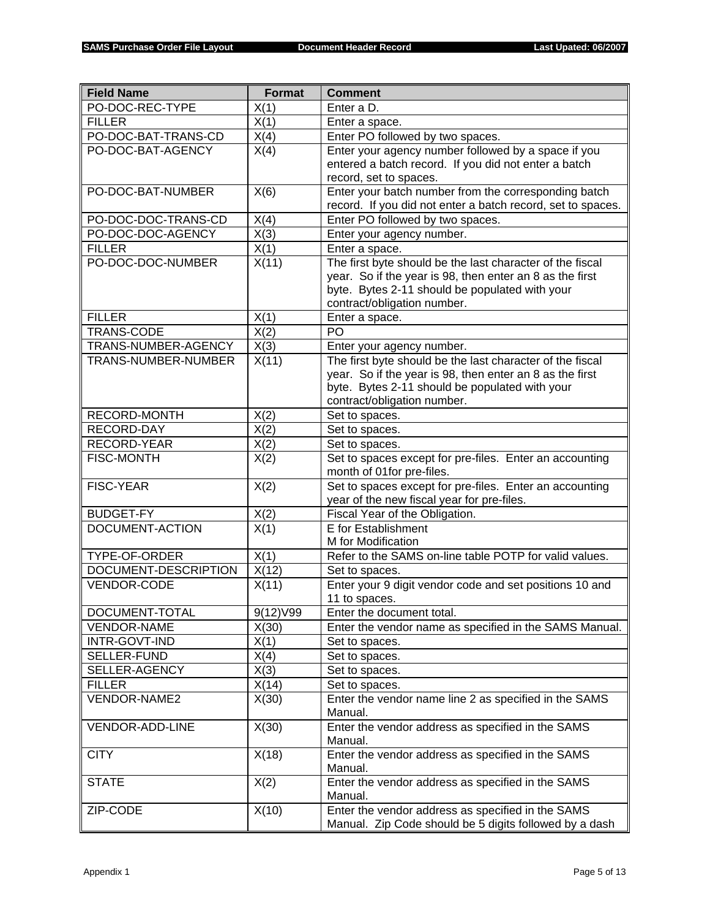| <b>Field Name</b>    | <b>Format</b> | <b>Comment</b>                                                                                                        |  |  |
|----------------------|---------------|-----------------------------------------------------------------------------------------------------------------------|--|--|
| PO-DOC-REC-TYPE      | X(1)          | Enter a D.                                                                                                            |  |  |
| <b>FILLER</b>        | X(1)          | Enter a space.                                                                                                        |  |  |
| PO-DOC-BAT-TRANS-CD  | X(4)          | Enter PO followed by two spaces.                                                                                      |  |  |
| PO-DOC-BAT-AGENCY    | X(4)          | Enter your agency number followed by a space if you                                                                   |  |  |
|                      |               | entered a batch record. If you did not enter a batch                                                                  |  |  |
|                      |               | record, set to spaces.                                                                                                |  |  |
| PO-DOC-BAT-NUMBER    | X(6)          | Enter your batch number from the corresponding batch                                                                  |  |  |
|                      |               | record. If you did not enter a batch record, set to spaces.                                                           |  |  |
| PO-DOC-DOC-TRANS-CD  | X(4)          | Enter PO followed by two spaces.                                                                                      |  |  |
| PO-DOC-DOC-AGENCY    | X(3)          | Enter your agency number.                                                                                             |  |  |
| <b>FILLER</b>        | X(1)          | Enter a space.                                                                                                        |  |  |
| PO-DOC-DOC-NUMBER    | X(11)         | The first byte should be the last character of the fiscal                                                             |  |  |
|                      |               | year. So if the year is 98, then enter an 8 as the first                                                              |  |  |
|                      |               | byte. Bytes 2-11 should be populated with your                                                                        |  |  |
|                      |               | contract/obligation number.                                                                                           |  |  |
| <b>FILLER</b>        | X(1)          | Enter a space.<br>PO                                                                                                  |  |  |
| TRANS-CODE           | X(2)          |                                                                                                                       |  |  |
| TRANS-NUMBER-AGENCY  | X(3)          | Enter your agency number.                                                                                             |  |  |
| TRANS-NUMBER-NUMBER  | X(11)         | The first byte should be the last character of the fiscal<br>year. So if the year is 98, then enter an 8 as the first |  |  |
|                      |               | byte. Bytes 2-11 should be populated with your                                                                        |  |  |
|                      |               | contract/obligation number.                                                                                           |  |  |
| RECORD-MONTH         | X(2)          | Set to spaces.                                                                                                        |  |  |
| RECORD-DAY           | X(2)          | Set to spaces.                                                                                                        |  |  |
| RECORD-YEAR          | X(2)          | Set to spaces.                                                                                                        |  |  |
| <b>FISC-MONTH</b>    | X(2)          | Set to spaces except for pre-files. Enter an accounting                                                               |  |  |
|                      |               | month of 01for pre-files.                                                                                             |  |  |
| <b>FISC-YEAR</b>     | X(2)          | Set to spaces except for pre-files. Enter an accounting                                                               |  |  |
|                      |               | year of the new fiscal year for pre-files.                                                                            |  |  |
| <b>BUDGET-FY</b>     | X(2)          | Fiscal Year of the Obligation.                                                                                        |  |  |
| DOCUMENT-ACTION      | X(1)          | E for Establishment                                                                                                   |  |  |
|                      |               | M for Modification                                                                                                    |  |  |
| TYPE-OF-ORDER        | X(1)          | Refer to the SAMS on-line table POTP for valid values.                                                                |  |  |
| DOCUMENT-DESCRIPTION | X(12)         | Set to spaces.                                                                                                        |  |  |
| VENDOR-CODE          | X(11)         | Enter your 9 digit vendor code and set positions 10 and                                                               |  |  |
|                      |               | 11 to spaces.                                                                                                         |  |  |
| DOCUMENT-TOTAL       | 9(12) V99     | Enter the document total.                                                                                             |  |  |
| <b>VENDOR-NAME</b>   | X(30)         | Enter the vendor name as specified in the SAMS Manual.                                                                |  |  |
| INTR-GOVT-IND        | X(1)          | Set to spaces.                                                                                                        |  |  |
| SELLER-FUND          | X(4)          | Set to spaces.                                                                                                        |  |  |
| SELLER-AGENCY        | X(3)          | Set to spaces.                                                                                                        |  |  |
| <b>FILLER</b>        | X(14)         | Set to spaces.                                                                                                        |  |  |
| VENDOR-NAME2         | X(30)         | Enter the vendor name line 2 as specified in the SAMS                                                                 |  |  |
|                      |               | Manual.                                                                                                               |  |  |
| VENDOR-ADD-LINE      | X(30)         | Enter the vendor address as specified in the SAMS                                                                     |  |  |
| <b>CITY</b>          | X(18)         | Manual.<br>Enter the vendor address as specified in the SAMS                                                          |  |  |
|                      |               | Manual.                                                                                                               |  |  |
| <b>STATE</b>         | X(2)          | Enter the vendor address as specified in the SAMS                                                                     |  |  |
|                      |               | Manual.                                                                                                               |  |  |
| ZIP-CODE             | X(10)         | Enter the vendor address as specified in the SAMS                                                                     |  |  |
|                      |               | Manual. Zip Code should be 5 digits followed by a dash                                                                |  |  |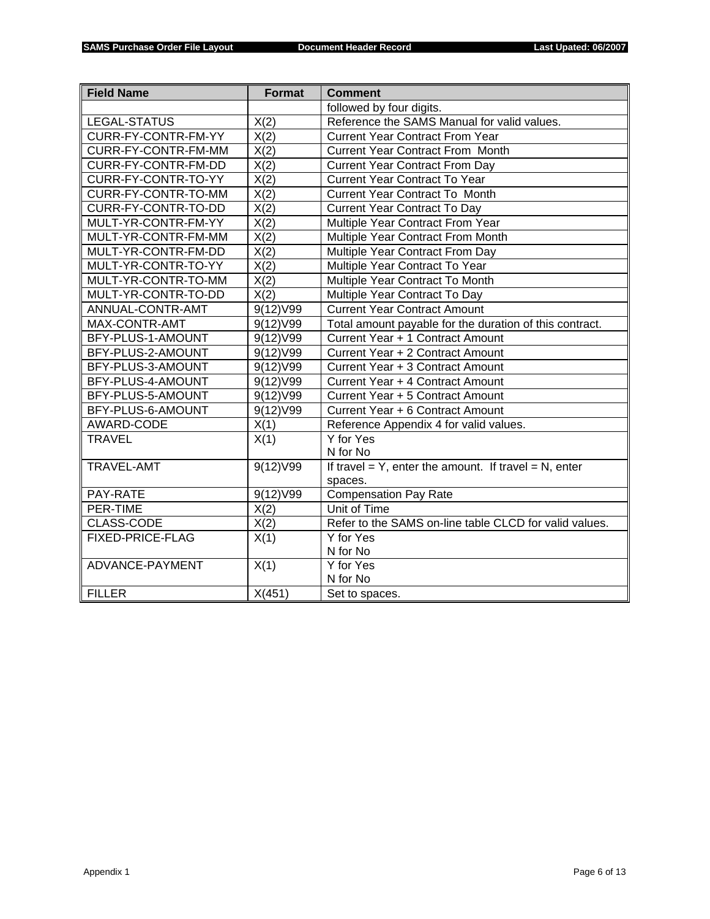| <b>Field Name</b><br><b>Format</b> |           | <b>Comment</b>                                              |
|------------------------------------|-----------|-------------------------------------------------------------|
|                                    |           | followed by four digits.                                    |
| LEGAL-STATUS                       | X(2)      | Reference the SAMS Manual for valid values.                 |
| CURR-FY-CONTR-FM-YY                | X(2)      | <b>Current Year Contract From Year</b>                      |
| CURR-FY-CONTR-FM-MM                | X(2)      | <b>Current Year Contract From Month</b>                     |
| CURR-FY-CONTR-FM-DD                | X(2)      | <b>Current Year Contract From Day</b>                       |
| CURR-FY-CONTR-TO-YY                | X(2)      | <b>Current Year Contract To Year</b>                        |
| CURR-FY-CONTR-TO-MM                | X(2)      | <b>Current Year Contract To Month</b>                       |
| CURR-FY-CONTR-TO-DD                | X(2)      | <b>Current Year Contract To Day</b>                         |
| MULT-YR-CONTR-FM-YY                | X(2)      | Multiple Year Contract From Year                            |
| MULT-YR-CONTR-FM-MM                | X(2)      | Multiple Year Contract From Month                           |
| MULT-YR-CONTR-FM-DD                | X(2)      | Multiple Year Contract From Day                             |
| MULT-YR-CONTR-TO-YY                | X(2)      | Multiple Year Contract To Year                              |
| MULT-YR-CONTR-TO-MM                | X(2)      | Multiple Year Contract To Month                             |
| MULT-YR-CONTR-TO-DD                | X(2)      | Multiple Year Contract To Day                               |
| ANNUAL-CONTR-AMT                   | 9(12) V99 | <b>Current Year Contract Amount</b>                         |
| MAX-CONTR-AMT                      | 9(12) V99 | Total amount payable for the duration of this contract.     |
| BFY-PLUS-1-AMOUNT                  | 9(12) V99 | Current Year + 1 Contract Amount                            |
| BFY-PLUS-2-AMOUNT                  | 9(12)V99  | Current Year + 2 Contract Amount                            |
| BFY-PLUS-3-AMOUNT                  | 9(12)V99  | Current Year + 3 Contract Amount                            |
| BFY-PLUS-4-AMOUNT                  | 9(12) V99 | Current Year + 4 Contract Amount                            |
| BFY-PLUS-5-AMOUNT                  | 9(12) V99 | Current Year + 5 Contract Amount                            |
| BFY-PLUS-6-AMOUNT                  | 9(12) V99 | Current Year + 6 Contract Amount                            |
| AWARD-CODE                         | X(1)      | Reference Appendix 4 for valid values.                      |
| <b>TRAVEL</b>                      | X(1)      | Y for Yes                                                   |
|                                    |           | N for No                                                    |
| TRAVEL-AMT                         | 9(12)V99  | If travel = $Y$ , enter the amount. If travel = $N$ , enter |
|                                    |           | spaces.                                                     |
| PAY-RATE                           | 9(12) V99 | Compensation Pay Rate                                       |
| PER-TIME                           | X(2)      | Unit of Time                                                |
| <b>CLASS-CODE</b>                  | X(2)      | Refer to the SAMS on-line table CLCD for valid values.      |
| FIXED-PRICE-FLAG                   | X(1)      | Y for Yes                                                   |
|                                    |           | N for No                                                    |
| ADVANCE-PAYMENT                    | X(1)      | Y for Yes                                                   |
|                                    |           | N for No                                                    |
| <b>FILLER</b>                      | X(451)    | Set to spaces.                                              |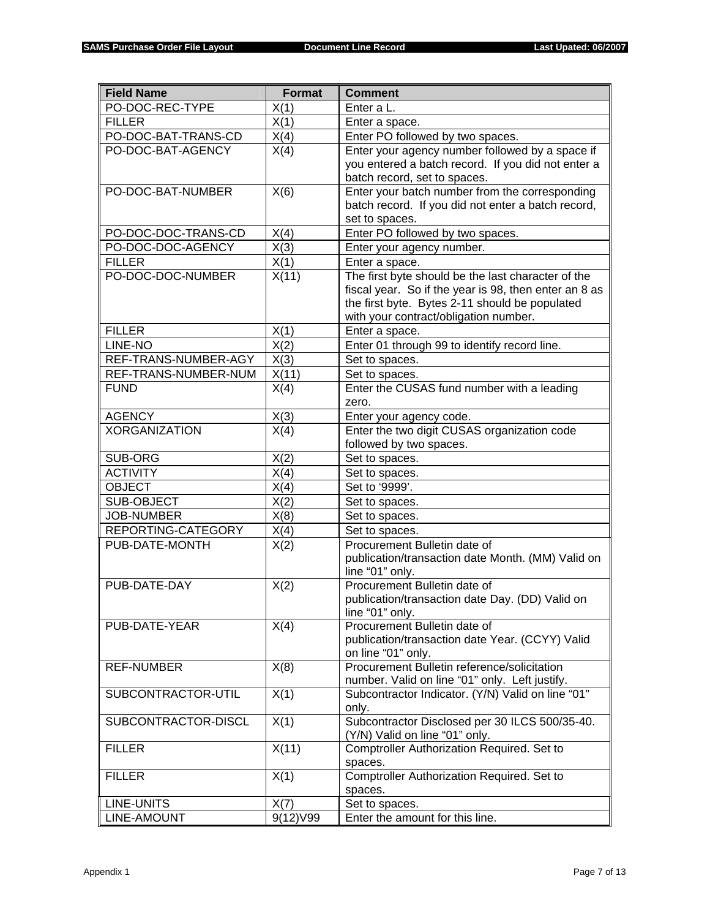| <b>Field Name</b>    | <b>Format</b> | <b>Comment</b>                                                               |
|----------------------|---------------|------------------------------------------------------------------------------|
| PO-DOC-REC-TYPE      | X(1)          | Enter a L.                                                                   |
| <b>FILLER</b>        | X(1)          | Enter a space.                                                               |
| PO-DOC-BAT-TRANS-CD  | X(4)          | Enter PO followed by two spaces.                                             |
| PO-DOC-BAT-AGENCY    | X(4)          | Enter your agency number followed by a space if                              |
|                      |               | you entered a batch record. If you did not enter a                           |
|                      |               | batch record, set to spaces.                                                 |
| PO-DOC-BAT-NUMBER    | X(6)          | Enter your batch number from the corresponding                               |
|                      |               | batch record. If you did not enter a batch record,                           |
|                      |               | set to spaces.                                                               |
| PO-DOC-DOC-TRANS-CD  | X(4)          | Enter PO followed by two spaces.                                             |
| PO-DOC-DOC-AGENCY    | X(3)          | Enter your agency number.                                                    |
| <b>FILLER</b>        | X(1)          | Enter a space.                                                               |
| PO-DOC-DOC-NUMBER    | X(11)         | The first byte should be the last character of the                           |
|                      |               | fiscal year. So if the year is 98, then enter an 8 as                        |
|                      |               | the first byte. Bytes 2-11 should be populated                               |
|                      |               | with your contract/obligation number.                                        |
| <b>FILLER</b>        | X(1)          | Enter a space.                                                               |
| LINE-NO              | X(2)          | Enter 01 through 99 to identify record line.                                 |
| REF-TRANS-NUMBER-AGY | X(3)          | Set to spaces.                                                               |
| REF-TRANS-NUMBER-NUM | X(11)         | Set to spaces.                                                               |
| <b>FUND</b>          | X(4)          | Enter the CUSAS fund number with a leading                                   |
| <b>AGENCY</b>        |               | zero.                                                                        |
| <b>XORGANIZATION</b> | X(3)          | Enter your agency code.<br>Enter the two digit CUSAS organization code       |
|                      | X(4)          | followed by two spaces.                                                      |
| SUB-ORG              | X(2)          | Set to spaces.                                                               |
| <b>ACTIVITY</b>      | X(4)          | Set to spaces.                                                               |
| <b>OBJECT</b>        | X(4)          | Set to '9999'.                                                               |
| SUB-OBJECT           | X(2)          | Set to spaces.                                                               |
| <b>JOB-NUMBER</b>    | X(8)          | Set to spaces.                                                               |
| REPORTING-CATEGORY   | X(4)          | Set to spaces.                                                               |
| PUB-DATE-MONTH       | X(2)          | Procurement Bulletin date of                                                 |
|                      |               | publication/transaction date Month. (MM) Valid on                            |
|                      |               | line "01" only.                                                              |
| PUB-DATE-DAY         | X(2)          | Procurement Bulletin date of                                                 |
|                      |               | publication/transaction date Day. (DD) Valid on                              |
|                      |               | line "01" only.                                                              |
| PUB-DATE-YEAR        | X(4)          | Procurement Bulletin date of                                                 |
|                      |               | publication/transaction date Year. (CCYY) Valid                              |
|                      |               | on line "01" only.                                                           |
| <b>REF-NUMBER</b>    | X(8)          | Procurement Bulletin reference/solicitation                                  |
|                      |               | number. Valid on line "01" only. Left justify.                               |
| SUBCONTRACTOR-UTIL   | X(1)          | Subcontractor Indicator. (Y/N) Valid on line "01"                            |
|                      |               | only.                                                                        |
| SUBCONTRACTOR-DISCL  | X(1)          | Subcontractor Disclosed per 30 ILCS 500/35-40.                               |
| <b>FILLER</b>        | X(11)         | (Y/N) Valid on line "01" only.<br>Comptroller Authorization Required. Set to |
|                      |               |                                                                              |
| <b>FILLER</b>        | X(1)          | spaces.<br>Comptroller Authorization Required. Set to                        |
|                      |               | spaces.                                                                      |
| <b>LINE-UNITS</b>    | X(7)          | Set to spaces.                                                               |
| LINE-AMOUNT          | 9(12) V99     | Enter the amount for this line.                                              |
|                      |               |                                                                              |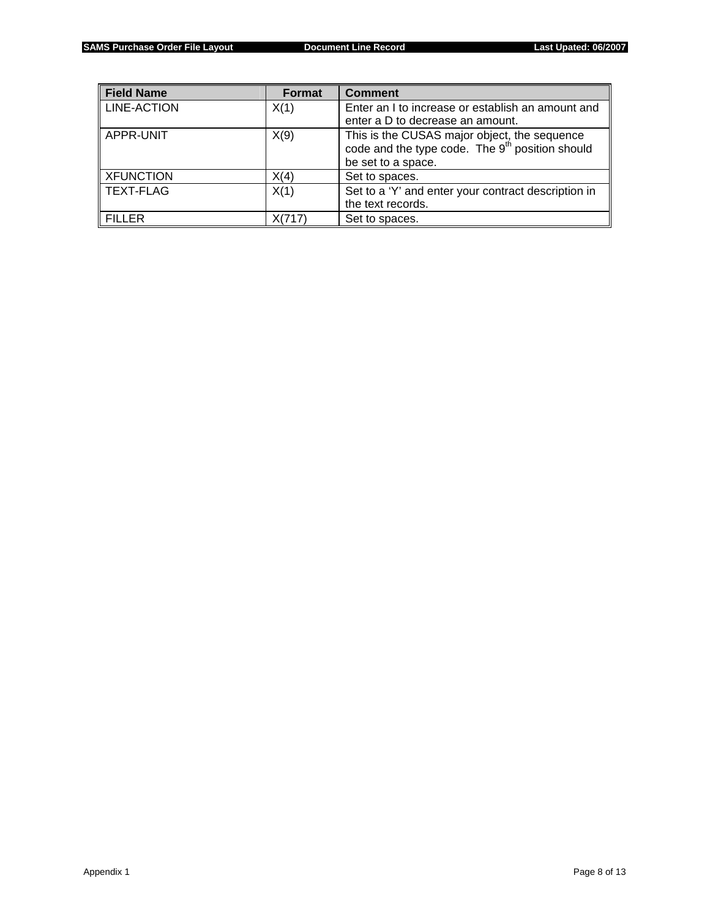| <b>Field Name</b>  | <b>Format</b> | <b>Comment</b>                                                                                              |
|--------------------|---------------|-------------------------------------------------------------------------------------------------------------|
| <b>LINE-ACTION</b> | X(1)          | Enter an I to increase or establish an amount and                                                           |
|                    |               | enter a D to decrease an amount.                                                                            |
| APPR-UNIT          | X(9)          | This is the CUSAS major object, the sequence<br>code and the type code. The 9 <sup>th</sup> position should |
|                    |               | be set to a space.                                                                                          |
| <b>XFUNCTION</b>   | X(4)          | Set to spaces.                                                                                              |
| l TEXT-FLAG        | X(1)          | Set to a 'Y' and enter your contract description in                                                         |
|                    |               | the text records.                                                                                           |
| <b>FILLER</b>      | X(717)        | Set to spaces.                                                                                              |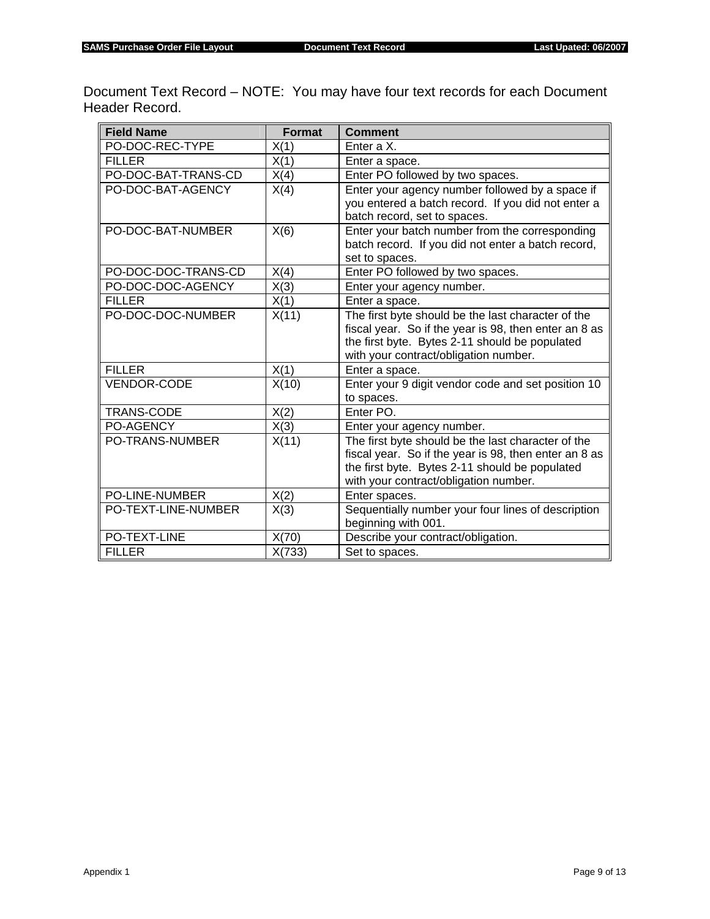Document Text Record – NOTE: You may have four text records for each Document Header Record.

| <b>Field Name</b>      | <b>Format</b> | <b>Comment</b>                                        |
|------------------------|---------------|-------------------------------------------------------|
| PO-DOC-REC-TYPE        | X(1)          | Enter a X.                                            |
| <b>FILLER</b>          | X(1)          | Enter a space.                                        |
| PO-DOC-BAT-TRANS-CD    | X(4)          | Enter PO followed by two spaces.                      |
| PO-DOC-BAT-AGENCY      | X(4)          | Enter your agency number followed by a space if       |
|                        |               | you entered a batch record. If you did not enter a    |
|                        |               | batch record, set to spaces.                          |
| PO-DOC-BAT-NUMBER      | X(6)          | Enter your batch number from the corresponding        |
|                        |               | batch record. If you did not enter a batch record,    |
|                        |               | set to spaces.                                        |
| PO-DOC-DOC-TRANS-CD    | X(4)          | Enter PO followed by two spaces.                      |
| PO-DOC-DOC-AGENCY      | X(3)          | Enter your agency number.                             |
| <b>FILLER</b>          | X(1)          | Enter a space.                                        |
| PO-DOC-DOC-NUMBER      | X(11)         | The first byte should be the last character of the    |
|                        |               | fiscal year. So if the year is 98, then enter an 8 as |
|                        |               | the first byte. Bytes 2-11 should be populated        |
|                        |               | with your contract/obligation number.                 |
| <b>FILLER</b>          | X(1)          | Enter a space.                                        |
| <b>VENDOR-CODE</b>     | X(10)         | Enter your 9 digit vendor code and set position 10    |
|                        |               | to spaces.                                            |
| TRANS-CODE             | X(2)          | Enter PO.                                             |
| PO-AGENCY              | X(3)          | Enter your agency number.                             |
| <b>PO-TRANS-NUMBER</b> | X(11)         | The first byte should be the last character of the    |
|                        |               | fiscal year. So if the year is 98, then enter an 8 as |
|                        |               | the first byte. Bytes 2-11 should be populated        |
|                        |               | with your contract/obligation number.                 |
| <b>PO-LINE-NUMBER</b>  | X(2)          | Enter spaces.                                         |
| PO-TEXT-LINE-NUMBER    | X(3)          | Sequentially number your four lines of description    |
|                        |               | beginning with 001.                                   |
| PO-TEXT-LINE           | X(70)         | Describe your contract/obligation.                    |
| <b>FILLER</b>          | X(733)        | Set to spaces.                                        |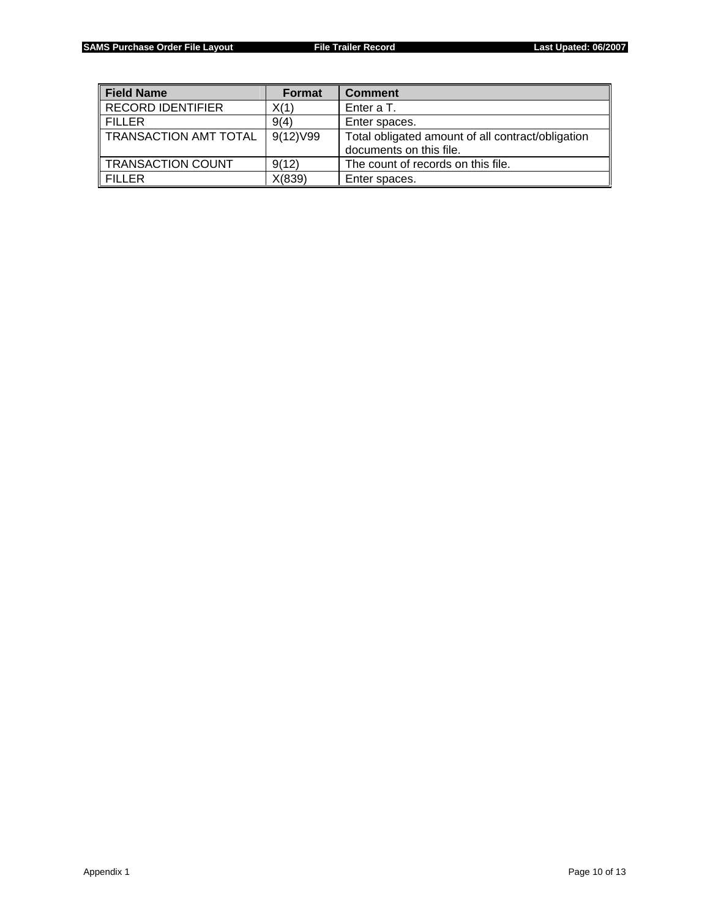| <b>Field Name</b>        | Format   | <b>Comment</b>                                                               |
|--------------------------|----------|------------------------------------------------------------------------------|
| <b>RECORD IDENTIFIER</b> | X(1)     | Enter a T.                                                                   |
| <b>FILLER</b>            | 9(4)     | Enter spaces.                                                                |
| TRANSACTION AMT TOTAL    | 9(12)V99 | Total obligated amount of all contract/obligation<br>documents on this file. |
| TRANSACTION COUNT        | 9(12)    | The count of records on this file.                                           |
| <b>FILLER</b>            | X(839)   | Enter spaces.                                                                |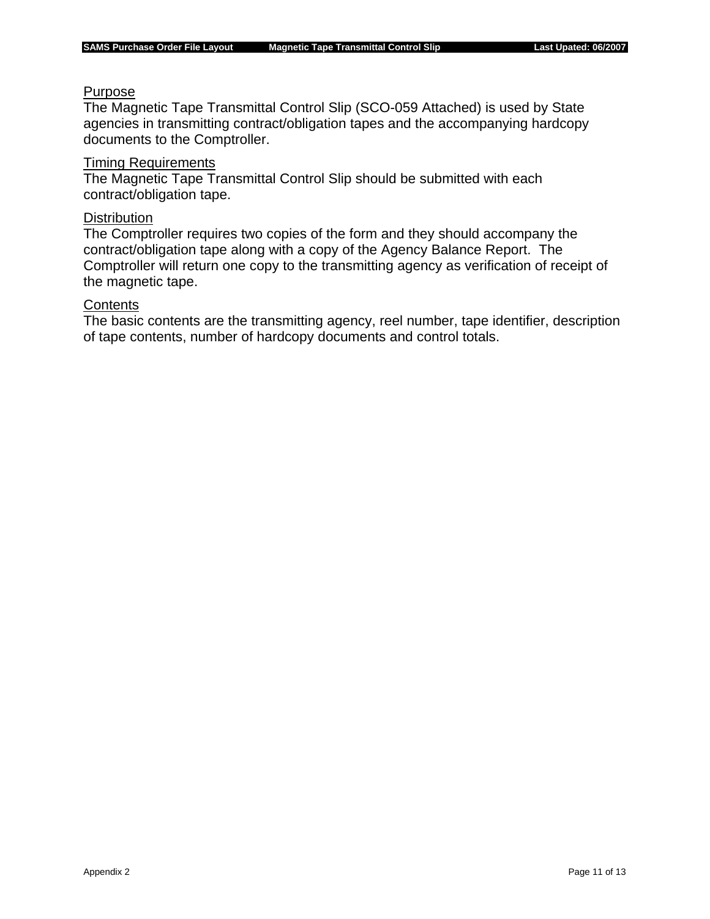### Purpose

The Magnetic Tape Transmittal Control Slip (SCO-059 Attached) is used by State agencies in transmitting contract/obligation tapes and the accompanying hardcopy documents to the Comptroller.

### Timing Requirements

The Magnetic Tape Transmittal Control Slip should be submitted with each contract/obligation tape.

#### **Distribution**

The Comptroller requires two copies of the form and they should accompany the contract/obligation tape along with a copy of the Agency Balance Report. The Comptroller will return one copy to the transmitting agency as verification of receipt of the magnetic tape.

## **Contents**

The basic contents are the transmitting agency, reel number, tape identifier, description of tape contents, number of hardcopy documents and control totals.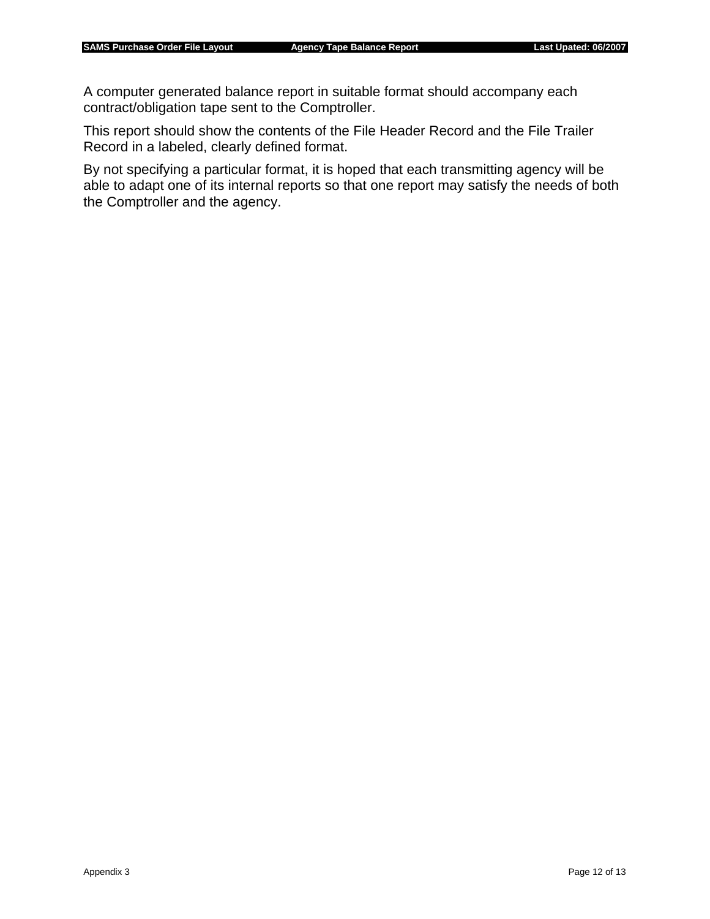A computer generated balance report in suitable format should accompany each contract/obligation tape sent to the Comptroller.

This report should show the contents of the File Header Record and the File Trailer Record in a labeled, clearly defined format.

By not specifying a particular format, it is hoped that each transmitting agency will be able to adapt one of its internal reports so that one report may satisfy the needs of both the Comptroller and the agency.